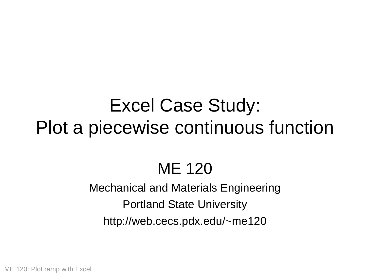# Excel Case Study: Plot a piecewise continuous function

## ME 120

#### Mechanical and Materials Engineering Portland State University http://web.cecs.pdx.edu/~me120

ME 120: Plot ramp with Excel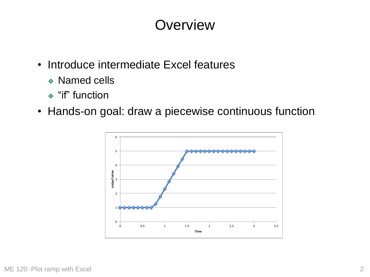### **Overview**

- Introduce intermediate Excel features
	- ❖ Named cells
	- ❖ "if" function
- Hands-on goal: draw a piecewise continuous function

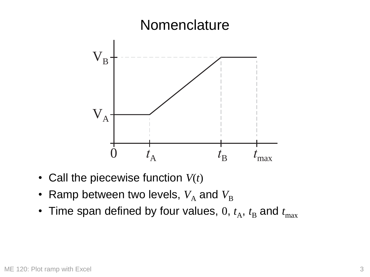

- Call the piecewise function *V*(*t*)
- Ramp between two levels,  $V_A$  and  $V_B$
- Time span defined by four values,  $0$ ,  $t_A$ ,  $t_B$  and  $t_{\text{max}}$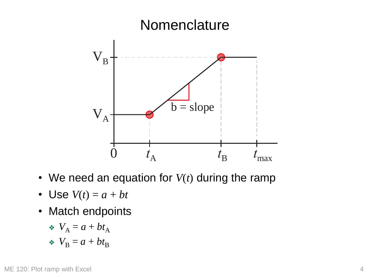

- We need an equation for *V*(*t*) during the ramp
- Use  $V(t) = a + bt$
- Match endpoints

$$
\bullet \ \ V_{\mathcal{A}} = a + bt_{\mathcal{A}}
$$

 $\cdot$   $V_{\text{B}} = a + bt_{\text{B}}$